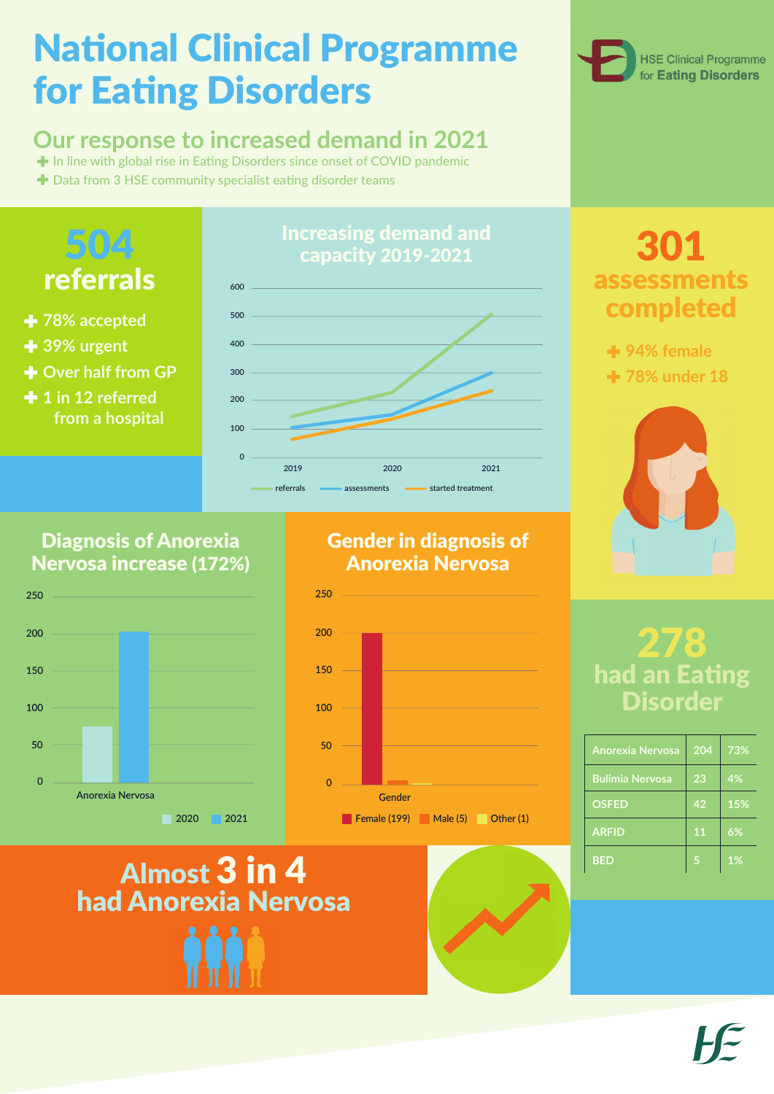# **National Clinical Programme** for Eating Disorders

### **Our response to increased demand in 2021**

In line with global rise in Eating Disorders since onset of COVID pandemic

 $\bigstar$  Data from 3 HSE community specialist eating disorder teams



## Almost 3 in 4 had Anorexia Nervosa





#### Diagnosis of Anorexia Nervosa increase (172%)

#### Gender in diagnosis of Anorexia Nervosa

## 504 referrals

- **78% accepted**
- **39% urgent**
- **+ Over half from GP**
- **1 in 12 referred from a hospital**



# 301 assessments completed

**94% female 78% under 18**



## 278 had an Eating Disorder

| <b>Anorexia Nervosa</b> | 204 | 73% |
|-------------------------|-----|-----|
| <b>Bulimia Nervosa</b>  | 23  | 4%  |
| <b>OSFED</b>            | 42  | 15% |
|                         |     |     |

| <b>ARFID</b> | $\overline{\mathbf{1}} \mathbf{1}$ | 6%    |
|--------------|------------------------------------|-------|
| <b>BED</b>   |                                    | $1\%$ |